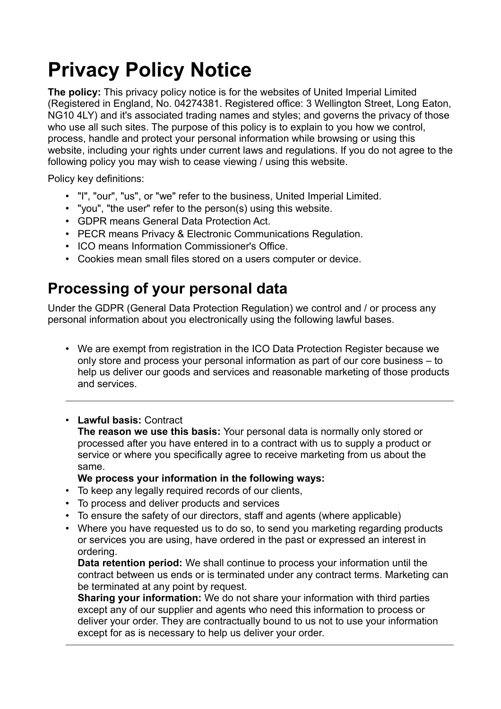# **Privacy Policy Notice**

**The policy:** This privacy policy notice is for the websites of United Imperial Limited (Registered in England, No. 04274381. Registered office: 3 Wellington Street, Long Eaton, NG10 4LY) and it's associated trading names and styles; and governs the privacy of those who use all such sites. The purpose of this policy is to explain to you how we control, process, handle and protect your personal information while browsing or using this website, including your rights under current laws and regulations. If you do not agree to the following policy you may wish to cease viewing / using this website.

Policy key definitions:

- "I", "our", "us", or "we" refer to the business, United Imperial Limited.
- "you", "the user" refer to the person(s) using this website.
- GDPR means General Data Protection Act.
- PECR means Privacy & Electronic Communications Regulation.
- ICO means Information Commissioner's Office.
- Cookies mean small files stored on a users computer or device.

### **Processing of your personal data**

Under the GDPR (General Data Protection Regulation) we control and / or process any personal information about you electronically using the following lawful bases.

• We are exempt from registration in the ICO Data Protection Register because we only store and process your personal information as part of our core business – to help us deliver our goods and services and reasonable marketing of those products and services.

#### • **Lawful basis:** Contract

**The reason we use this basis:** Your personal data is normally only stored or processed after you have entered in to a contract with us to supply a product or service or where you specifically agree to receive marketing from us about the same.

#### **We process your information in the following ways:**

- To keep any legally required records of our clients,
- To process and deliver products and services
- To ensure the safety of our directors, staff and agents (where applicable)
- Where you have requested us to do so, to send you marketing regarding products or services you are using, have ordered in the past or expressed an interest in ordering.

**Data retention period:** We shall continue to process your information until the contract between us ends or is terminated under any contract terms. Marketing can be terminated at any point by request.

**Sharing your information:** We do not share your information with third parties except any of our supplier and agents who need this information to process or deliver your order. They are contractually bound to us not to use your information except for as is necessary to help us deliver your order.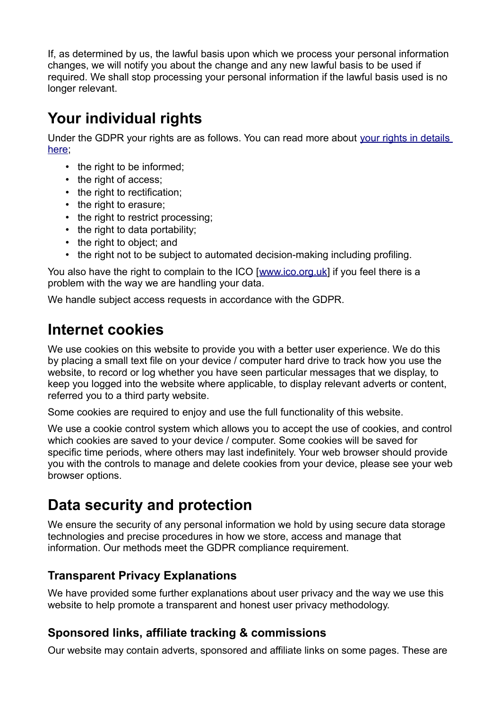If, as determined by us, the lawful basis upon which we process your personal information changes, we will notify you about the change and any new lawful basis to be used if required. We shall stop processing your personal information if the lawful basis used is no longer relevant.

# **Your individual rights**

Under the GDPR your rights are as follows. You can read more about your rights in details [here;](https://ico.org.uk/for-organisations/guide-to-the-general-data-protection-regulation-gdpr/individual-rights/)

- the right to be informed;
- the right of access;
- the right to rectification;
- the right to erasure;
- the right to restrict processing;
- the right to data portability;
- the right to object; and
- the right not to be subject to automated decision-making including profiling.

You also have the right to complain to the ICO [\[www.ico.org.uk\]](http://www.ico.org.uk/) if you feel there is a problem with the way we are handling your data.

We handle subject access requests in accordance with the GDPR.

# **Internet cookies**

We use cookies on this website to provide you with a better user experience. We do this by placing a small text file on your device / computer hard drive to track how you use the website, to record or log whether you have seen particular messages that we display, to keep you logged into the website where applicable, to display relevant adverts or content, referred you to a third party website.

Some cookies are required to enjoy and use the full functionality of this website.

We use a cookie control system which allows you to accept the use of cookies, and control which cookies are saved to your device / computer. Some cookies will be saved for specific time periods, where others may last indefinitely. Your web browser should provide you with the controls to manage and delete cookies from your device, please see your web browser options.

# **Data security and protection**

We ensure the security of any personal information we hold by using secure data storage technologies and precise procedures in how we store, access and manage that information. Our methods meet the GDPR compliance requirement.

### **Transparent Privacy Explanations**

We have provided some further explanations about user privacy and the way we use this website to help promote a transparent and honest user privacy methodology.

### **Sponsored links, affiliate tracking & commissions**

Our website may contain adverts, sponsored and affiliate links on some pages. These are